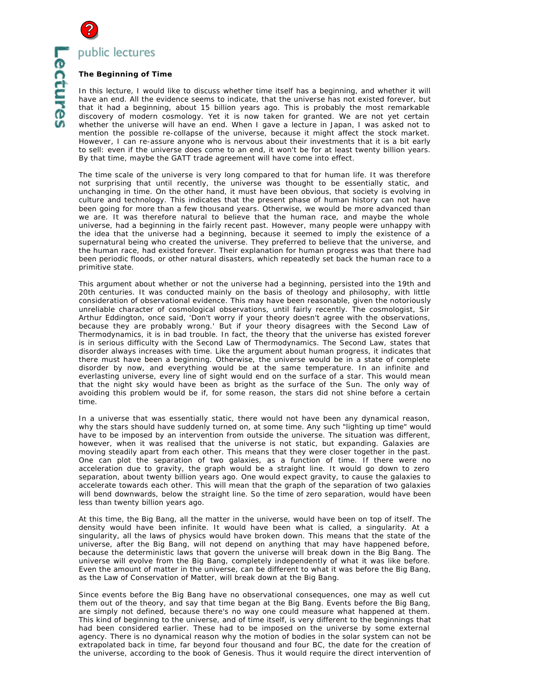

public lectures

## **The Beginning of Time**

In this lecture, I would like to discuss whether time itself has a beginning, and whether it will have an end. All the evidence seems to indicate, that the universe has not existed forever, but that it had a beginning, about 15 billion years ago. This is probably the most remarkable discovery of modern cosmology. Yet it is now taken for granted. We are not yet certain whether the universe will have an end. When I gave a lecture in Japan, I was asked not to mention the possible re-collapse of the universe, because it might affect the stock market. However, I can re-assure anyone who is nervous about their investments that it is a bit early to sell: even if the universe does come to an end, it won't be for at least twenty billion years. By that time, maybe the GATT trade agreement will have come into effect.

The time scale of the universe is very long compared to that for human life. It was therefore not surprising that until recently, the universe was thought to be essentially static, and unchanging in time. On the other hand, it must have been obvious, that society is evolving in culture and technology. This indicates that the present phase of human history can not have been going for more than a few thousand years. Otherwise, we would be more advanced than we are. It was therefore natural to believe that the human race, and maybe the whole universe, had a beginning in the fairly recent past. However, many people were unhappy with the idea that the universe had a beginning, because it seemed to imply the existence of a supernatural being who created the universe. They preferred to believe that the universe, and the human race, had existed forever. Their explanation for human progress was that there had been periodic floods, or other natural disasters, which repeatedly set back the human race to a primitive state.

This argument about whether or not the universe had a beginning, persisted into the 19th and 20th centuries. It was conducted mainly on the basis of theology and philosophy, with little consideration of observational evidence. This may have been reasonable, given the notoriously unreliable character of cosmological observations, until fairly recently. The cosmologist, Sir Arthur Eddington, once said, 'Don't worry if your theory doesn't agree with the observations, because they are probably wrong.' But if your theory disagrees with the Second Law of Thermodynamics, it is in bad trouble. In fact, the theory that the universe has existed forever is in serious difficulty with the Second Law of Thermodynamics. The Second Law, states that disorder always increases with time. Like the argument about human progress, it indicates that there must have been a beginning. Otherwise, the universe would be in a state of complete disorder by now, and everything would be at the same temperature. In an infinite and everlasting universe, every line of sight would end on the surface of a star. This would mean that the night sky would have been as bright as the surface of the Sun. The only way of avoiding this problem would be if, for some reason, the stars did not shine before a certain time.

In a universe that was essentially static, there would not have been any dynamical reason, why the stars should have suddenly turned on, at some time. Any such "lighting up time" would have to be imposed by an intervention from outside the universe. The situation was different, however, when it was realised that the universe is not static, but expanding. Galaxies are moving steadily apart from each other. This means that they were closer together in the past. One can plot the separation of two galaxies, as a function of time. If there were no acceleration due to gravity, the graph would be a straight line. It would go down to zero separation, about twenty billion years ago. One would expect gravity, to cause the galaxies to accelerate towards each other. This will mean that the graph of the separation of two galaxies will bend downwards, below the straight line. So the time of zero separation, would have been less than twenty billion years ago.

At this time, the Big Bang, all the matter in the universe, would have been on top of itself. The density would have been infinite. It would have been what is called, a singularity. At a singularity, all the laws of physics would have broken down. This means that the state of the universe, after the Big Bang, will not depend on anything that may have happened before, because the deterministic laws that govern the universe will break down in the Big Bang. The universe will evolve from the Big Bang, completely independently of what it was like before. Even the amount of matter in the universe, can be different to what it was before the Big Bang, as the Law of Conservation of Matter, will break down at the Big Bang.

Since events before the Big Bang have no observational consequences, one may as well cut them out of the theory, and say that time began at the Big Bang. Events before the Big Bang, are simply not defined, because there's no way one could measure what happened at them. This kind of beginning to the universe, and of time itself, is very different to the beginnings that had been considered earlier. These had to be imposed on the universe by some external agency. There is no dynamical reason why the motion of bodies in the solar system can not be extrapolated back in time, far beyond four thousand and four BC, the date for the creation of the universe, according to the book of Genesis. Thus it would require the direct intervention of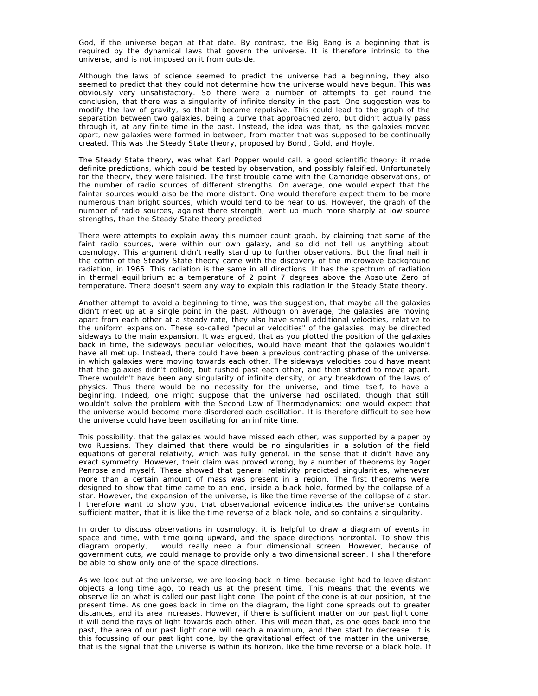God, if the universe began at that date. By contrast, the Big Bang is a beginning that is required by the dynamical laws that govern the universe. It is therefore intrinsic to the universe, and is not imposed on it from outside.

Although the laws of science seemed to predict the universe had a beginning, they also seemed to predict that they could not determine how the universe would have begun. This was obviously very unsatisfactory. So there were a number of attempts to get round the conclusion, that there was a singularity of infinite density in the past. One suggestion was to modify the law of gravity, so that it became repulsive. This could lead to the graph of the separation between two galaxies, being a curve that approached zero, but didn't actually pass through it, at any finite time in the past. Instead, the idea was that, as the galaxies moved apart, new galaxies were formed in between, from matter that was supposed to be continually created. This was the Steady State theory, proposed by Bondi, Gold, and Hoyle.

The Steady State theory, was what Karl Popper would call, a good scientific theory: it made definite predictions, which could be tested by observation, and possibly falsified. Unfortunately for the theory, they were falsified. The first trouble came with the Cambridge observations, of the number of radio sources of different strengths. On average, one would expect that the fainter sources would also be the more distant. One would therefore expect them to be more numerous than bright sources, which would tend to be near to us. However, the graph of the number of radio sources, against there strength, went up much more sharply at low source strengths, than the Steady State theory predicted.

There were attempts to explain away this number count graph, by claiming that some of the faint radio sources, were within our own galaxy, and so did not tell us anything about cosmology. This argument didn't really stand up to further observations. But the final nail in the coffin of the Steady State theory came with the discovery of the microwave background radiation, in 1965. This radiation is the same in all directions. It has the spectrum of radiation in thermal equilibrium at a temperature of 2 point 7 degrees above the Absolute Zero of temperature. There doesn't seem any way to explain this radiation in the Steady State theory.

Another attempt to avoid a beginning to time, was the suggestion, that maybe all the galaxies didn't meet up at a single point in the past. Although on average, the galaxies are moving apart from each other at a steady rate, they also have small additional velocities, relative to the uniform expansion. These so-called "peculiar velocities" of the galaxies, may be directed sideways to the main expansion. It was argued, that as you plotted the position of the galaxies back in time, the sideways peculiar velocities, would have meant that the galaxies wouldn't have all met up. Instead, there could have been a previous contracting phase of the universe, in which galaxies were moving towards each other. The sideways velocities could have meant that the galaxies didn't collide, but rushed past each other, and then started to move apart. There wouldn't have been any singularity of infinite density, or any breakdown of the laws of physics. Thus there would be no necessity for the universe, and time itself, to have a beginning. Indeed, one might suppose that the universe had oscillated, though that still wouldn't solve the problem with the Second Law of Thermodynamics: one would expect that the universe would become more disordered each oscillation. It is therefore difficult to see how the universe could have been oscillating for an infinite time.

This possibility, that the galaxies would have missed each other, was supported by a paper by two Russians. They claimed that there would be no singularities in a solution of the field equations of general relativity, which was fully general, in the sense that it didn't have any exact symmetry. However, their claim was proved wrong, by a number of theorems by Roger Penrose and myself. These showed that general relativity predicted singularities, whenever more than a certain amount of mass was present in a region. The first theorems were designed to show that time came to an end, inside a black hole, formed by the collapse of a star. However, the expansion of the universe, is like the time reverse of the collapse of a star. I therefore want to show you, that observational evidence indicates the universe contains sufficient matter, that it is like the time reverse of a black hole, and so contains a singularity.

In order to discuss observations in cosmology, it is helpful to draw a diagram of events in space and time, with time going upward, and the space directions horizontal. To show this diagram properly, I would really need a four dimensional screen. However, because of government cuts, we could manage to provide only a two dimensional screen. I shall therefore be able to show only one of the space directions.

As we look out at the universe, we are looking back in time, because light had to leave distant objects a long time ago, to reach us at the present time. This means that the events we observe lie on what is called our past light cone. The point of the cone is at our position, at the present time. As one goes back in time on the diagram, the light cone spreads out to greater distances, and its area increases. However, if there is sufficient matter on our past light cone, it will bend the rays of light towards each other. This will mean that, as one goes back into the past, the area of our past light cone will reach a maximum, and then start to decrease. It is this focussing of our past light cone, by the gravitational effect of the matter in the universe, that is the signal that the universe is within its horizon, like the time reverse of a black hole. If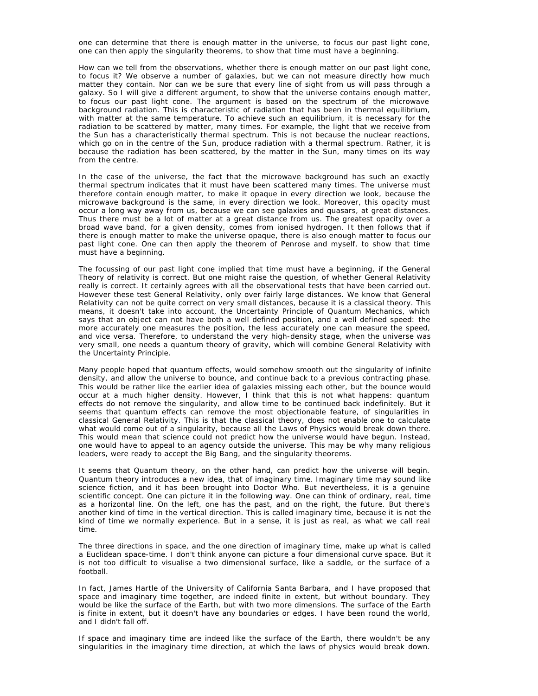one can determine that there is enough matter in the universe, to focus our past light cone, one can then apply the singularity theorems, to show that time must have a beginning.

How can we tell from the observations, whether there is enough matter on our past light cone, to focus it? We observe a number of galaxies, but we can not measure directly how much matter they contain. Nor can we be sure that every line of sight from us will pass through a galaxy. So I will give a different argument, to show that the universe contains enough matter, to focus our past light cone. The argument is based on the spectrum of the microwave background radiation. This is characteristic of radiation that has been in thermal equilibrium, with matter at the same temperature. To achieve such an equilibrium, it is necessary for the radiation to be scattered by matter, many times. For example, the light that we receive from the Sun has a characteristically thermal spectrum. This is not because the nuclear reactions, which go on in the centre of the Sun, produce radiation with a thermal spectrum. Rather, it is because the radiation has been scattered, by the matter in the Sun, many times on its way from the centre.

In the case of the universe, the fact that the microwave background has such an exactly thermal spectrum indicates that it must have been scattered many times. The universe must therefore contain enough matter, to make it opaque in every direction we look, because the microwave background is the same, in every direction we look. Moreover, this opacity must occur a long way away from us, because we can see galaxies and quasars, at great distances. Thus there must be a lot of matter at a great distance from us. The greatest opacity over a broad wave band, for a given density, comes from ionised hydrogen. It then follows that if there is enough matter to make the universe opaque, there is also enough matter to focus our past light cone. One can then apply the theorem of Penrose and myself, to show that time must have a beginning.

The focussing of our past light cone implied that time must have a beginning, if the General Theory of relativity is correct. But one might raise the question, of whether General Relativity really is correct. It certainly agrees with all the observational tests that have been carried out. However these test General Relativity, only over fairly large distances. We know that General Relativity can not be quite correct on very small distances, because it is a classical theory. This means, it doesn't take into account, the Uncertainty Principle of Quantum Mechanics, which says that an object can not have both a well defined position, and a well defined speed: the more accurately one measures the position, the less accurately one can measure the speed, and vice versa. Therefore, to understand the very high-density stage, when the universe was very small, one needs a quantum theory of gravity, which will combine General Relativity with the Uncertainty Principle.

Many people hoped that quantum effects, would somehow smooth out the singularity of infinite density, and allow the universe to bounce, and continue back to a previous contracting phase. This would be rather like the earlier idea of galaxies missing each other, but the bounce would occur at a much higher density. However, I think that this is not what happens: quantum effects do not remove the singularity, and allow time to be continued back indefinitely. But it seems that quantum effects can remove the most objectionable feature, of singularities in classical General Relativity. This is that the classical theory, does not enable one to calculate what would come out of a singularity, because all the Laws of Physics would break down there. This would mean that science could not predict how the universe would have begun. Instead, one would have to appeal to an agency outside the universe. This may be why many religious leaders, were ready to accept the Big Bang, and the singularity theorems.

It seems that Quantum theory, on the other hand, can predict how the universe will begin. Quantum theory introduces a new idea, that of imaginary time. Imaginary time may sound like science fiction, and it has been brought into Doctor Who. But nevertheless, it is a genuine scientific concept. One can picture it in the following way. One can think of ordinary, real, time as a horizontal line. On the left, one has the past, and on the right, the future. But there's another kind of time in the vertical direction. This is called imaginary time, because it is not the kind of time we normally experience. But in a sense, it is just as real, as what we call real time.

The three directions in space, and the one direction of imaginary time, make up what is called a Euclidean space-time. I don't think anyone can picture a four dimensional curve space. But it is not too difficult to visualise a two dimensional surface, like a saddle, or the surface of a football.

In fact, James Hartle of the University of California Santa Barbara, and I have proposed that space and imaginary time together, are indeed finite in extent, but without boundary. They would be like the surface of the Earth, but with two more dimensions. The surface of the Earth is finite in extent, but it doesn't have any boundaries or edges. I have been round the world, and I didn't fall off.

If space and imaginary time are indeed like the surface of the Earth, there wouldn't be any singularities in the imaginary time direction, at which the laws of physics would break down.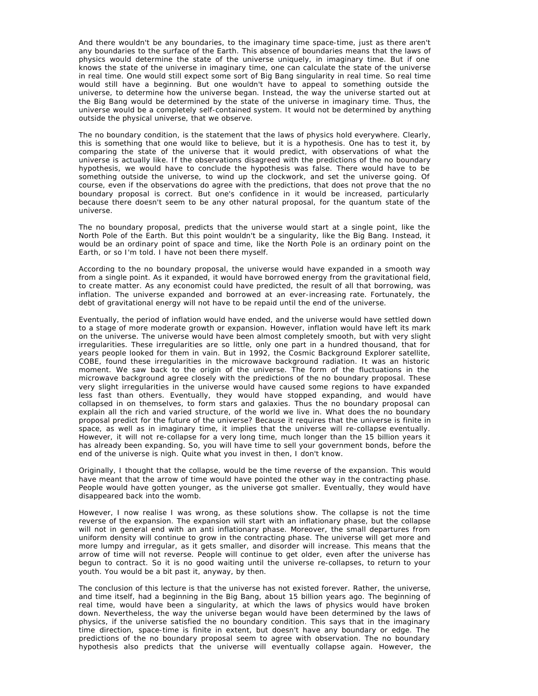And there wouldn't be any boundaries, to the imaginary time space-time, just as there aren't any boundaries to the surface of the Earth. This absence of boundaries means that the laws of physics would determine the state of the universe uniquely, in imaginary time. But if one knows the state of the universe in imaginary time, one can calculate the state of the universe in real time. One would still expect some sort of Big Bang singularity in real time. So real time would still have a beginning. But one wouldn't have to appeal to something outside the universe, to determine how the universe began. Instead, the way the universe started out at the Big Bang would be determined by the state of the universe in imaginary time. Thus, the universe would be a completely self-contained system. It would not be determined by anything outside the physical universe, that we observe.

The no boundary condition, is the statement that the laws of physics hold everywhere. Clearly, this is something that one would like to believe, but it is a hypothesis. One has to test it, by comparing the state of the universe that it would predict, with observations of what the universe is actually like. If the observations disagreed with the predictions of the no boundary hypothesis, we would have to conclude the hypothesis was false. There would have to be something outside the universe, to wind up the clockwork, and set the universe going. Of course, even if the observations do agree with the predictions, that does not prove that the no boundary proposal is correct. But one's confidence in it would be increased, particularly because there doesn't seem to be any other natural proposal, for the quantum state of the universe.

The no boundary proposal, predicts that the universe would start at a single point, like the North Pole of the Earth. But this point wouldn't be a singularity, like the Big Bang. Instead, it would be an ordinary point of space and time, like the North Pole is an ordinary point on the Earth, or so I'm told. I have not been there myself.

According to the no boundary proposal, the universe would have expanded in a smooth way from a single point. As it expanded, it would have borrowed energy from the gravitational field, to create matter. As any economist could have predicted, the result of all that borrowing, was inflation. The universe expanded and borrowed at an ever-increasing rate. Fortunately, the debt of gravitational energy will not have to be repaid until the end of the universe.

Eventually, the period of inflation would have ended, and the universe would have settled down to a stage of more moderate growth or expansion. However, inflation would have left its mark on the universe. The universe would have been almost completely smooth, but with very slight irregularities. These irregularities are so little, only one part in a hundred thousand, that for years people looked for them in vain. But in 1992, the Cosmic Background Explorer satellite, COBE, found these irregularities in the microwave background radiation. It was an historic moment. We saw back to the origin of the universe. The form of the fluctuations in the microwave background agree closely with the predictions of the no boundary proposal. These very slight irregularities in the universe would have caused some regions to have expanded less fast than others. Eventually, they would have stopped expanding, and would have collapsed in on themselves, to form stars and galaxies. Thus the no boundary proposal can explain all the rich and varied structure, of the world we live in. What does the no boundary proposal predict for the future of the universe? Because it requires that the universe is finite in space, as well as in imaginary time, it implies that the universe will re-collapse eventually. However, it will not re-collapse for a very long time, much longer than the 15 billion years it has already been expanding. So, you will have time to sell your government bonds, before the end of the universe is nigh. Quite what you invest in then, I don't know.

Originally, I thought that the collapse, would be the time reverse of the expansion. This would have meant that the arrow of time would have pointed the other way in the contracting phase. People would have gotten younger, as the universe got smaller. Eventually, they would have disappeared back into the womb.

However, I now realise I was wrong, as these solutions show. The collapse is not the time reverse of the expansion. The expansion will start with an inflationary phase, but the collapse will not in general end with an anti inflationary phase. Moreover, the small departures from uniform density will continue to grow in the contracting phase. The universe will get more and more lumpy and irregular, as it gets smaller, and disorder will increase. This means that the arrow of time will not reverse. People will continue to get older, even after the universe has begun to contract. So it is no good waiting until the universe re-collapses, to return to your youth. You would be a bit past it, anyway, by then.

The conclusion of this lecture is that the universe has not existed forever. Rather, the universe, and time itself, had a beginning in the Big Bang, about 15 billion years ago. The beginning of real time, would have been a singularity, at which the laws of physics would have broken down. Nevertheless, the way the universe began would have been determined by the laws of physics, if the universe satisfied the no boundary condition. This says that in the imaginary time direction, space-time is finite in extent, but doesn't have any boundary or edge. The predictions of the no boundary proposal seem to agree with observation. The no boundary hypothesis also predicts that the universe will eventually collapse again. However, the